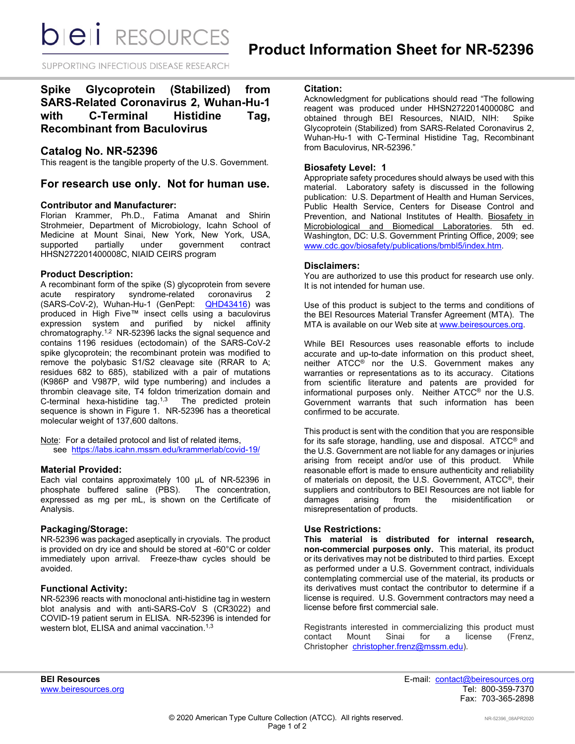*DIEI RESOURCES* 

SUPPORTING INFECTIOUS DISEASE RESEARCH

# **Spike Glycoprotein (Stabilized) from SARS-Related Coronavirus 2, Wuhan-Hu-1 with C-Terminal Histidine Tag, Recombinant from Baculovirus**

# **Catalog No. NR-52396**

This reagent is the tangible property of the U.S. Government.

# **For research use only. Not for human use.**

#### **Contributor and Manufacturer:**

Florian Krammer, Ph.D., Fatima Amanat and Shirin Strohmeier, Department of Microbiology, Icahn School of Medicine at Mount Sinai, New York, New York, USA, supported partially under government contract HHSN272201400008C, NIAID CEIRS program

## **Product Description:**

A recombinant form of the spike (S) glycoprotein from severe syndrome-related (SARS-CoV-2), Wuhan-Hu-1 (GenPept: **[QHD43416\)](https://www.ncbi.nlm.nih.gov/protein/QHD43416)** was produced in High Five™ insect cells using a baculovirus expression system and purified by nickel affinity chromatography.1,2 NR-52396 lacks the signal sequence and contains 1196 residues (ectodomain) of the SARS-CoV-2 spike glycoprotein; the recombinant protein was modified to remove the polybasic S1/S2 cleavage site (RRAR to A; residues 682 to 685), stabilized with a pair of mutations (K986P and V987P, wild type numbering) and includes a thrombin cleavage site, T4 foldon trimerization domain and C-terminal hexa-histidine tag.<sup>1,3</sup> The predicted protein sequence is shown in Figure 1. NR-52396 has a theoretical molecular weight of 137,600 daltons.

Note: For a detailed protocol and list of related items, see [https://labs.icahn.mssm.edu/krammerlab/covid-19/](https://urldefense.proofpoint.com/v2/url?u=https-3A__labs.icahn.mssm.edu_krammerlab_covid-2D19_&d=DwMGaQ&c=dcFnI-8Ri3NVXdqjME8ydA&r=eA3zTJxwXCmlnZgIbqMroY0lnEHoS938ZSXCfWXjknU&m=7thlCJsuJKRfS35CaryT9_VtJiIy3dY5SkMJM_oXZmg&s=wKvseV8pQG7eHq_VY5BAfNELC023EXKmAGwNxyckM8k&e=)

#### **Material Provided:**

Each vial contains approximately 100 µL of NR-52396 in phosphate buffered saline (PBS). The concentration, expressed as mg per mL, is shown on the Certificate of Analysis.

#### **Packaging/Storage:**

NR-52396 was packaged aseptically in cryovials. The product is provided on dry ice and should be stored at -60°C or colder immediately upon arrival. Freeze-thaw cycles should be avoided.

## **Functional Activity:**

NR-52396 reacts with monoclonal anti-histidine tag in western blot analysis and with anti-SARS-CoV S (CR3022) and COVID-19 patient serum in ELISA. NR-52396 is intended for western blot, ELISA and animal vaccination.<sup>1,3</sup>

#### **Citation:**

Acknowledgment for publications should read "The following reagent was produced under HHSN272201400008C and<br>obtained through BEI Resources, NIAID, NIH: Spike obtained through BEI Resources, NIAID, NIH: Glycoprotein (Stabilized) from SARS-Related Coronavirus 2, Wuhan-Hu-1 with C-Terminal Histidine Tag, Recombinant from Baculovirus, NR-52396."

## **Biosafety Level: 1**

Appropriate safety procedures should always be used with this material. Laboratory safety is discussed in the following publication: U.S. Department of Health and Human Services, Public Health Service, Centers for Disease Control and Prevention, and National Institutes of Health. Biosafety in Microbiological and Biomedical Laboratories. 5th ed. Washington, DC: U.S. Government Printing Office, 2009; see [www.cdc.gov/biosafety/publications/bmbl5/index.htm.](http://www.cdc.gov/biosafety/publications/bmbl5/index.htm)

## **Disclaimers:**

You are authorized to use this product for research use only. It is not intended for human use.

Use of this product is subject to the terms and conditions of the BEI Resources Material Transfer Agreement (MTA). The MTA is available on our Web site at [www.beiresources.org.](http://www.beiresources.org/)

While BEI Resources uses reasonable efforts to include accurate and up-to-date information on this product sheet, neither ATCC® nor the U.S. Government makes any warranties or representations as to its accuracy. Citations from scientific literature and patents are provided for informational purposes only. Neither ATCC® nor the U.S. Government warrants that such information has been confirmed to be accurate.

This product is sent with the condition that you are responsible for its safe storage, handling, use and disposal. ATCC® and the U.S. Government are not liable for any damages or injuries arising from receipt and/or use of this product. While reasonable effort is made to ensure authenticity and reliability of materials on deposit, the U.S. Government, ATCC®, their suppliers and contributors to BEI Resources are not liable for damages arising from the misidentification or misrepresentation of products.

# **Use Restrictions:**

**This material is distributed for internal research, non-commercial purposes only.** This material, its product or its derivatives may not be distributed to third parties. Except as performed under a U.S. Government contract, individuals contemplating commercial use of the material, its products or its derivatives must contact the contributor to determine if a license is required. U.S. Government contractors may need a license before first commercial sale.

Registrants interested in commercializing this product must<br>contact Mount Sinai for a license (Frenz, contact Mount Sinai for a license Christopher [christopher.frenz@mssm.edu\)](mailto:christopher.frenz@mssm.edu).

**BEI Resources** E-mail: contact@beiresources.org Fax: 703-365-2898